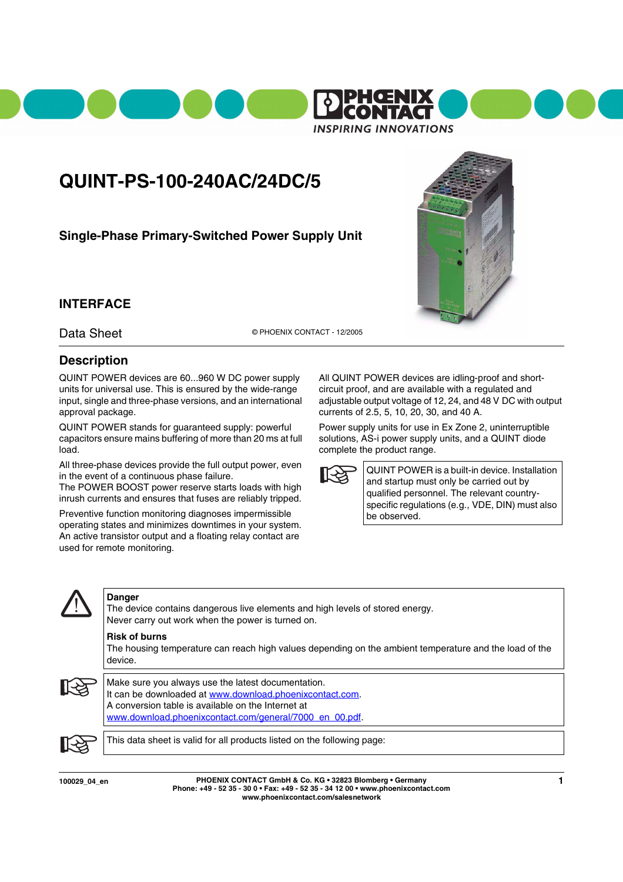

# **QUINT-PS-100-240AC/24DC/5**

**Single-Phase Primary-Switched Power Supply Unit**

### **INTERFACE**

Data Sheet © PHOENIX CONTACT - 12/2005

### **Description**

QUINT POWER devices are 60...960 W DC power supply units for universal use. This is ensured by the wide-range input, single and three-phase versions, and an international approval package.

QUINT POWER stands for guaranteed supply: powerful capacitors ensure mains buffering of more than 20 ms at full load.

All three-phase devices provide the full output power, even in the event of a continuous phase failure.

The POWER BOOST power reserve starts loads with high inrush currents and ensures that fuses are reliably tripped.

Preventive function monitoring diagnoses impermissible operating states and minimizes downtimes in your system. An active transistor output and a floating relay contact are used for remote monitoring.

All QUINT POWER devices are idling-proof and shortcircuit proof, and are available with a regulated and adjustable output voltage of 12, 24, and 48 V DC with output currents of 2.5, 5, 10, 20, 30, and 40 A.

Power supply units for use in Ex Zone 2, uninterruptible solutions, AS-i power supply units, and a QUINT diode complete the product range.



QUINT POWER is a built-in device. Installation and startup must only be carried out by qualified personnel. The relevant countryspecific regulations (e.g., VDE, DIN) must also be observed.



### **Danger**

The device contains dangerous live elements and high levels of stored energy. Never carry out work when the power is turned on.

#### **Risk of burns**

The housing temperature can reach high values depending on the ambient temperature and the load of the device.



Make sure you always use the latest documentation. It can be downloaded at [www.download.phoenixcontact.com.](http://www.download.phoenixcontact.com) A conversion table is available on the Internet at [www.download.phoenixcontact.com/general/7000\\_en\\_00.pdf.](http://www.download.phoenixcontact.com/general/7000_en_00.pdf)



This data sheet is valid for all products listed on the following page:

**100029\_04\_en PHOENIX CONTACT GmbH & Co. KG • 32823 Blomberg • Germany 1 Phone: +49 - 52 35 - 30 0 • Fax: +49 - 52 35 - 34 12 00 • www.phoenixcontact.com www.phoenixcontact.com/salesnetwork**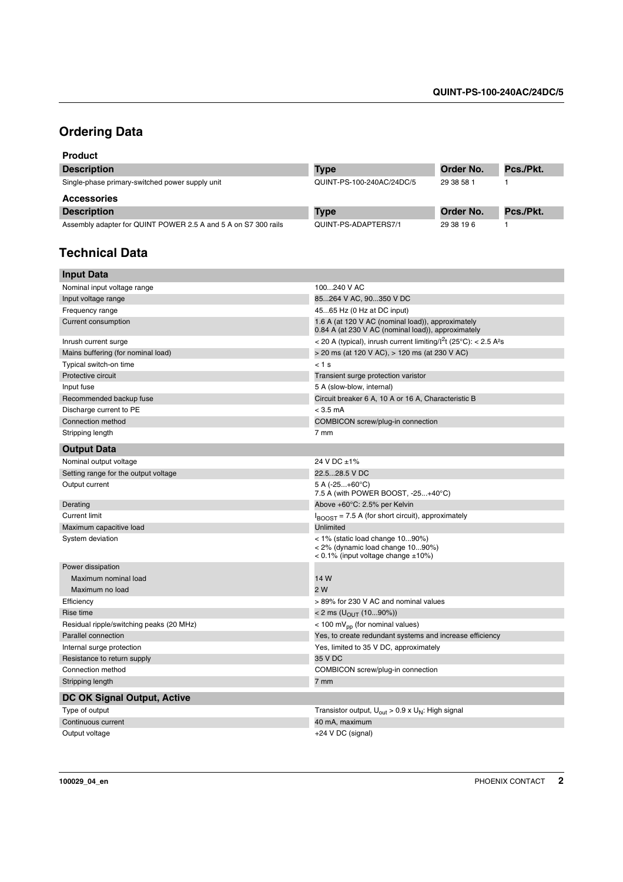# **Ordering Data**

| <b>Product</b>                                                 |                           |            |           |
|----------------------------------------------------------------|---------------------------|------------|-----------|
| <b>Description</b>                                             | <b>Type</b>               | Order No.  | Pcs./Pkt. |
| Single-phase primary-switched power supply unit                | QUINT-PS-100-240AC/24DC/5 | 29 38 58 1 |           |
| <b>Accessories</b>                                             |                           |            |           |
| <b>Description</b>                                             | <b>Type</b>               | Order No.  | Pcs./Pkt. |
| Assembly adapter for QUINT POWER 2.5 A and 5 A on S7 300 rails | QUINT-PS-ADAPTERS7/1      | 29 38 19 6 |           |

# **Technical Data**

| <b>Input Data</b>                        |                                                                                                                     |
|------------------------------------------|---------------------------------------------------------------------------------------------------------------------|
| Nominal input voltage range              | 100240 V AC                                                                                                         |
| Input voltage range                      | 85264 V AC, 90350 V DC                                                                                              |
| Frequency range                          | 4565 Hz (0 Hz at DC input)                                                                                          |
| Current consumption                      | 1.6 A (at 120 V AC (nominal load)), approximately<br>0.84 A (at 230 V AC (nominal load)), approximately             |
| Inrush current surge                     | < 20 A (typical), inrush current limiting/I <sup>2</sup> t (25°C): < 2.5 A <sup>2</sup> s                           |
| Mains buffering (for nominal load)       | > 20 ms (at 120 V AC), > 120 ms (at 230 V AC)                                                                       |
| Typical switch-on time                   | $< 1$ s                                                                                                             |
| Protective circuit                       | Transient surge protection varistor                                                                                 |
| Input fuse                               | 5 A (slow-blow, internal)                                                                                           |
| Recommended backup fuse                  | Circuit breaker 6 A, 10 A or 16 A, Characteristic B                                                                 |
| Discharge current to PE                  | $<$ 3.5 mA                                                                                                          |
| Connection method                        | COMBICON screw/plug-in connection                                                                                   |
| Stripping length                         | 7 mm                                                                                                                |
| <b>Output Data</b>                       |                                                                                                                     |
| Nominal output voltage                   | 24 V DC ±1%                                                                                                         |
| Setting range for the output voltage     | 22.528.5 V DC                                                                                                       |
| Output current                           | 5 A (-25+60°C)<br>7.5 A (with POWER BOOST, -25+40°C)                                                                |
| Derating                                 | Above +60°C: 2.5% per Kelvin                                                                                        |
| <b>Current limit</b>                     | $I_{\text{BOOST}}$ = 7.5 A (for short circuit), approximately                                                       |
| Maximum capacitive load                  | Unlimited                                                                                                           |
| System deviation                         | < 1% (static load change 1090%)<br>< 2% (dynamic load change 1090%)<br>$< 0.1\%$ (input voltage change $\pm 10\%$ ) |
| Power dissipation                        |                                                                                                                     |
| Maximum nominal load                     | 14 W                                                                                                                |
| Maximum no load                          | 2 W                                                                                                                 |
| Efficiency                               | > 89% for 230 V AC and nominal values                                                                               |
| Rise time                                | < 2 ms (U <sub>OUT</sub> (1090%))                                                                                   |
| Residual ripple/switching peaks (20 MHz) | < 100 mV <sub>pp</sub> (for nominal values)                                                                         |
| Parallel connection                      | Yes, to create redundant systems and increase efficiency                                                            |
| Internal surge protection                | Yes, limited to 35 V DC, approximately                                                                              |
| Resistance to return supply              | 35 V DC                                                                                                             |
| Connection method                        | COMBICON screw/plug-in connection                                                                                   |
| Stripping length                         | 7 <sub>mm</sub>                                                                                                     |
| DC OK Signal Output, Active              |                                                                                                                     |
| Type of output                           | Transistor output, U <sub>out</sub> > 0.9 x U <sub>N</sub> : High signal                                            |
| Continuous current                       | 40 mA, maximum                                                                                                      |
| Output voltage                           | +24 V DC (signal)                                                                                                   |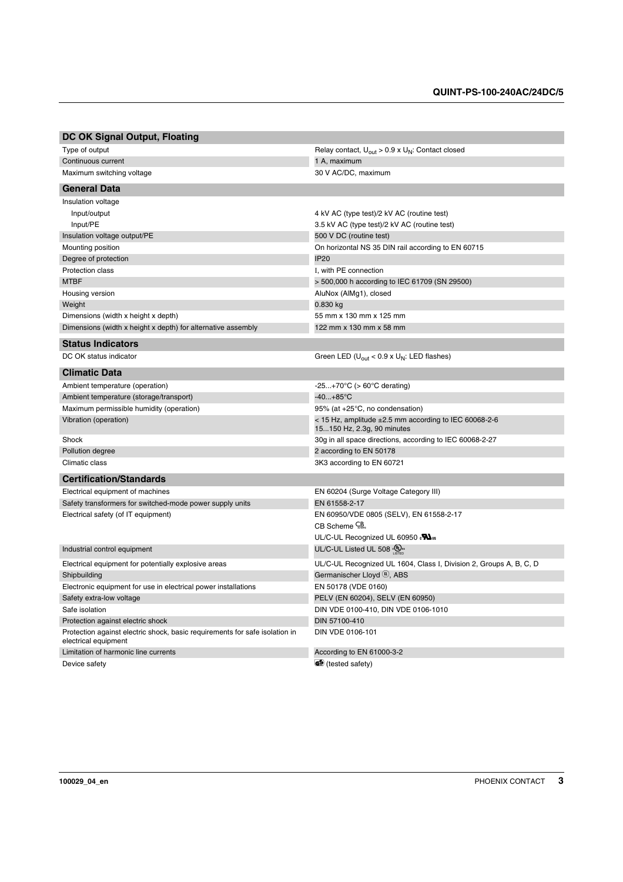| DC OK Signal Output, Floating                                                                       |                                                                                          |  |
|-----------------------------------------------------------------------------------------------------|------------------------------------------------------------------------------------------|--|
| Type of output                                                                                      | Relay contact, $U_{\text{out}} > 0.9 \times U_N$ : Contact closed                        |  |
| Continuous current                                                                                  | 1 A, maximum                                                                             |  |
| Maximum switching voltage                                                                           | 30 V AC/DC, maximum                                                                      |  |
| <b>General Data</b>                                                                                 |                                                                                          |  |
| Insulation voltage                                                                                  |                                                                                          |  |
| Input/output                                                                                        | 4 kV AC (type test)/2 kV AC (routine test)                                               |  |
| Input/PE                                                                                            | 3.5 kV AC (type test)/2 kV AC (routine test)                                             |  |
| Insulation voltage output/PE                                                                        | 500 V DC (routine test)                                                                  |  |
| Mounting position                                                                                   | On horizontal NS 35 DIN rail according to EN 60715                                       |  |
| Degree of protection                                                                                | <b>IP20</b>                                                                              |  |
| Protection class                                                                                    | I, with PE connection                                                                    |  |
| <b>MTBF</b>                                                                                         | > 500,000 h according to IEC 61709 (SN 29500)                                            |  |
| Housing version                                                                                     | AluNox (AlMg1), closed                                                                   |  |
| Weight                                                                                              | 0.830 kg                                                                                 |  |
| Dimensions (width x height x depth)                                                                 | 55 mm x 130 mm x 125 mm                                                                  |  |
| Dimensions (width x height x depth) for alternative assembly                                        | 122 mm x 130 mm x 58 mm                                                                  |  |
| <b>Status Indicators</b>                                                                            |                                                                                          |  |
| DC OK status indicator                                                                              | Green LED ( $U_{\text{out}}$ < 0.9 x $U_N$ : LED flashes)                                |  |
| <b>Climatic Data</b>                                                                                |                                                                                          |  |
| Ambient temperature (operation)                                                                     | -25+70 $\textdegree$ C (> 60 $\textdegree$ C derating)                                   |  |
| Ambient temperature (storage/transport)                                                             | $-40+85^{\circ}C$                                                                        |  |
| Maximum permissible humidity (operation)                                                            | 95% (at +25°C, no condensation)                                                          |  |
| Vibration (operation)                                                                               | < 15 Hz, amplitude $\pm 2.5$ mm according to IEC 60068-2-6<br>15150 Hz, 2.3g, 90 minutes |  |
| Shock                                                                                               | 30g in all space directions, according to IEC 60068-2-27                                 |  |
| Pollution degree                                                                                    | 2 according to EN 50178                                                                  |  |
| Climatic class                                                                                      | 3K3 according to EN 60721                                                                |  |
| <b>Certification/Standards</b>                                                                      |                                                                                          |  |
| Electrical equipment of machines                                                                    | EN 60204 (Surge Voltage Category III)                                                    |  |
| Safety transformers for switched-mode power supply units                                            | EN 61558-2-17                                                                            |  |
| Electrical safety (of IT equipment)                                                                 | EN 60950/VDE 0805 (SELV), EN 61558-2-17<br>CB Scheme <sup>CB</sup>                       |  |
|                                                                                                     | UL/C-UL Recognized UL 60950 & Was                                                        |  |
| Industrial control equipment                                                                        | UL/C-UL Listed UL 508 $\frac{600}{1000}$                                                 |  |
| Electrical equipment for potentially explosive areas                                                | UL/C-UL Recognized UL 1604, Class I, Division 2, Groups A, B, C, D                       |  |
| Shipbuilding                                                                                        | Germanischer Lloyd (a), ABS                                                              |  |
| Electronic equipment for use in electrical power installations                                      | EN 50178 (VDE 0160)                                                                      |  |
| Safety extra-low voltage                                                                            | PELV (EN 60204), SELV (EN 60950)                                                         |  |
| Safe isolation                                                                                      | DIN VDE 0100-410, DIN VDE 0106-1010                                                      |  |
| Protection against electric shock                                                                   | DIN 57100-410                                                                            |  |
| Protection against electric shock, basic requirements for safe isolation in<br>electrical equipment | DIN VDE 0106-101                                                                         |  |
| Limitation of harmonic line currents                                                                | According to EN 61000-3-2                                                                |  |
| Device safety                                                                                       | de (tested safety)                                                                       |  |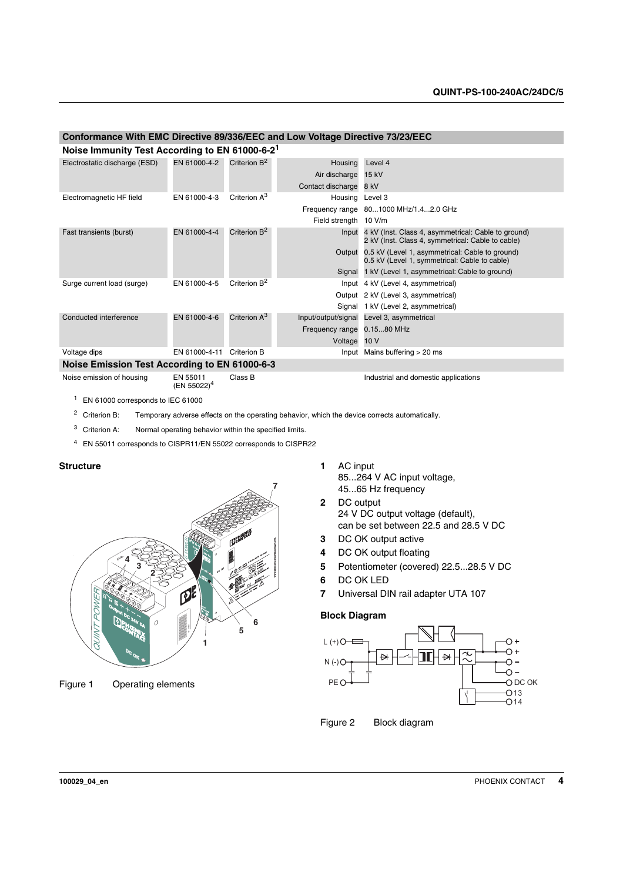### **Conformance With EMC Directive 89/336/EEC and Low Voltage Directive 73/23/EEC**

| Noise Immunity Test According to EN 61000-6-2 <sup>1</sup> |               |                          |                                    |                                                                                                                |  |
|------------------------------------------------------------|---------------|--------------------------|------------------------------------|----------------------------------------------------------------------------------------------------------------|--|
| Electrostatic discharge (ESD)                              | EN 61000-4-2  | Criterion B <sup>2</sup> | Housing                            | Level 4                                                                                                        |  |
|                                                            |               |                          | Air discharge                      | 15 kV                                                                                                          |  |
|                                                            |               |                          | Contact discharge 8 kV             |                                                                                                                |  |
| Electromagnetic HF field                                   | EN 61000-4-3  | Criterion A <sup>3</sup> | Housing Level 3                    |                                                                                                                |  |
|                                                            |               |                          |                                    | Frequency range 801000 MHz/1.42.0 GHz                                                                          |  |
|                                                            |               |                          | Field strength 10 V/m              |                                                                                                                |  |
| Fast transients (burst)                                    | EN 61000-4-4  | Criterion B <sup>2</sup> |                                    | Input 4 kV (Inst. Class 4, asymmetrical: Cable to ground)<br>2 kV (Inst. Class 4, symmetrical: Cable to cable) |  |
|                                                            |               |                          |                                    | Output 0.5 kV (Level 1, asymmetrical: Cable to ground)<br>0.5 kV (Level 1, symmetrical: Cable to cable)        |  |
|                                                            |               |                          |                                    | Signal 1 kV (Level 1, asymmetrical: Cable to ground)                                                           |  |
| Surge current load (surge)                                 | EN 61000-4-5  | Criterion B <sup>2</sup> | Input 4 kV (Level 4, asymmetrical) |                                                                                                                |  |
|                                                            |               |                          |                                    | Output 2 kV (Level 3, asymmetrical)                                                                            |  |
|                                                            |               |                          |                                    | Signal 1 kV (Level 2, asymmetrical)                                                                            |  |
| Conducted interference                                     | EN 61000-4-6  | Criterion A <sup>3</sup> | Input/output/signal                | Level 3, asymmetrical                                                                                          |  |
|                                                            |               |                          | Frequency range 0.1580 MHz         |                                                                                                                |  |
|                                                            |               |                          | Voltage                            | 10 V                                                                                                           |  |
| Voltage dips                                               | EN 61000-4-11 | Criterion B              | Input                              | Mains buffering > 20 ms                                                                                        |  |
| <b>Noise Emission Test According to EN 61000-6-3</b>       |               |                          |                                    |                                                                                                                |  |

Noise emission of housing EN 55011<br>
(EN 55022)<sup>4</sup>

Class B Industrial and domestic applications

<sup>1</sup> EN 61000 corresponds to IEC 61000

<span id="page-3-0"></span><sup>2</sup> Criterion B: Temporary adverse effects on the operating behavior, which the device corrects automatically.

<span id="page-3-1"></span> $3$  Criterion A: Normal operating behavior within the specified limits.

<sup>4</sup> EN 55011 corresponds to CISPR11/EN 55022 corresponds to CISPR22

### **Structure**



Figure 1 Operating elements

- **1** AC input 85...264 V AC input voltage, 45...65 Hz frequency
- **2** DC output 24 V DC output voltage (default), can be set between 22.5 and 28.5 V DC
- **3** DC OK output active
- **4** DC OK output floating
- **5** Potentiometer (covered) 22.5...28.5 V DC
- **6** DC OK LED
- **7** Universal DIN rail adapter UTA 107

### **Block Diagram**



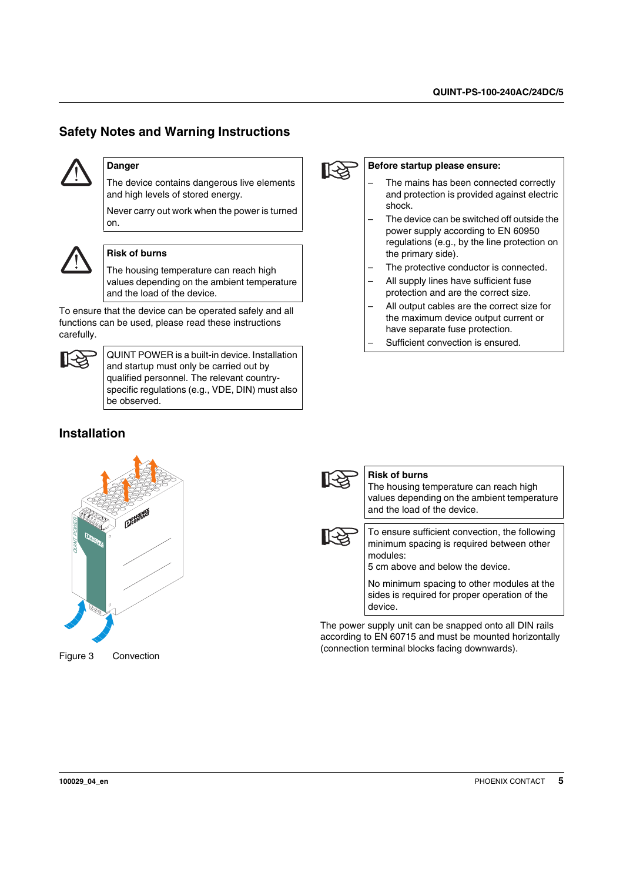# **Safety Notes and Warning Instructions**



### **Danger**

The device contains dangerous live elements and high levels of stored energy.

Never carry out work when the power is turned on.



### **Risk of burns**

The housing temperature can reach high values depending on the ambient temperature and the load of the device.

To ensure that the device can be operated safely and all functions can be used, please read these instructions carefully.



QUINT POWER is a built-in device. Installation and startup must only be carried out by qualified personnel. The relevant countryspecific regulations (e.g., VDE, DIN) must also be observed.

# **Installation**



### **Before startup please ensure:**

- The mains has been connected correctly and protection is provided against electric shock.
- The device can be switched off outside the power supply according to EN 60950 regulations (e.g., by the line protection on the primary side).
- The protective conductor is connected.
- All supply lines have sufficient fuse protection and are the correct size.
- All output cables are the correct size for the maximum device output current or have separate fuse protection.
- Sufficient convection is ensured.



Figure 3 Convection



### **Risk of burns**

The housing temperature can reach high values depending on the ambient temperature and the load of the device.



To ensure sufficient convection, the following minimum spacing is required between other modules:

5 cm above and below the device.

No minimum spacing to other modules at the sides is required for proper operation of the device.

The power supply unit can be snapped onto all DIN rails according to EN 60715 and must be mounted horizontally (connection terminal blocks facing downwards).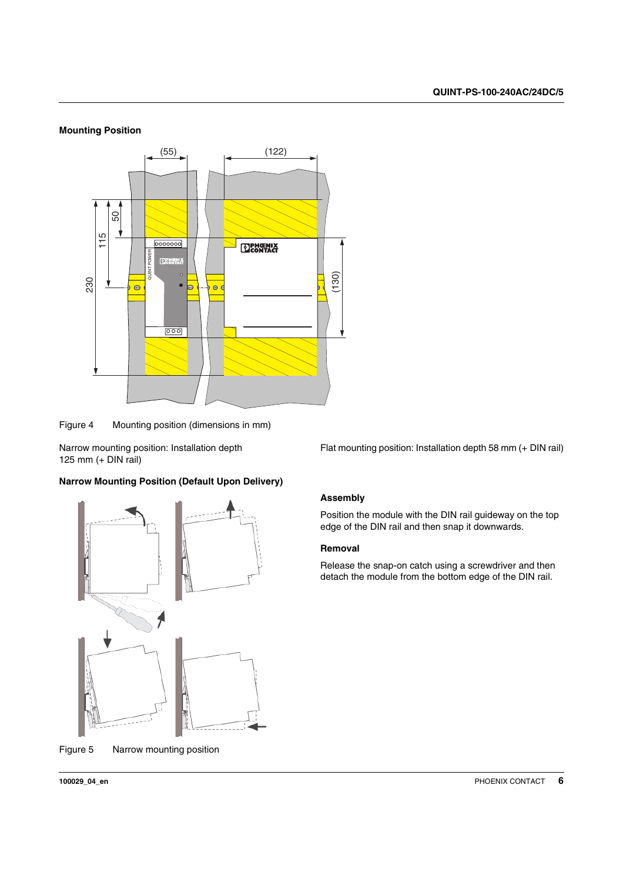### **Mounting Position**



Figure 4 Mounting position (dimensions in mm)

Narrow mounting position: Installation depth 125 mm (+ DIN rail)

### **Narrow Mounting Position (Default Upon Delivery)**



Figure 5 Narrow mounting position

Flat mounting position: Installation depth 58 mm (+ DIN rail)

### **Assembly**

Position the module with the DIN rail guideway on the top edge of the DIN rail and then snap it downwards.

### **Removal**

Release the snap-on catch using a screwdriver and then detach the module from the bottom edge of the DIN rail.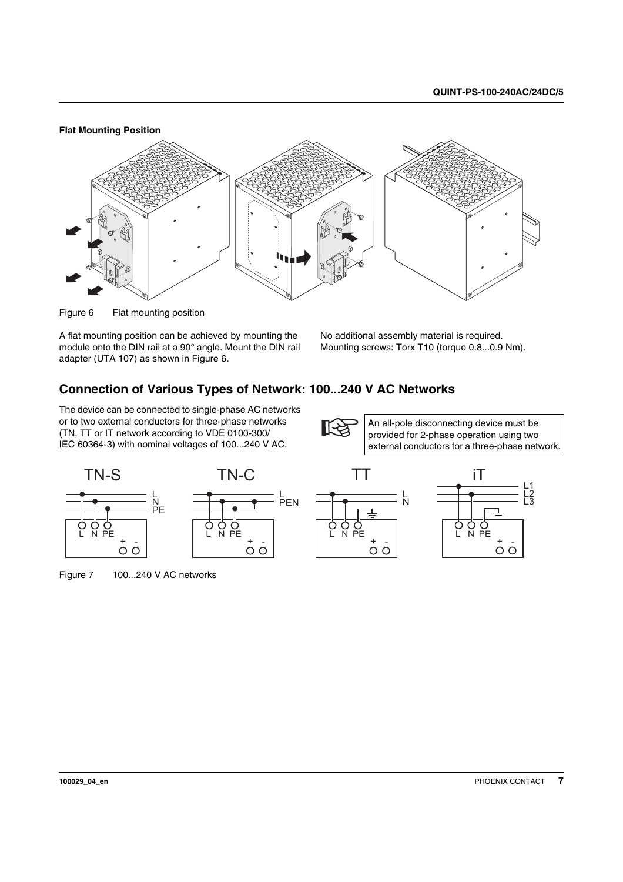

<span id="page-6-0"></span>Figure 6 Flat mounting position

A flat mounting position can be achieved by mounting the module onto the DIN rail at a 90° angle. Mount the DIN rail adapter (UTA 107) as shown in [Figure 6](#page-6-0).

No additional assembly material is required. Mounting screws: Torx T10 (torque 0.8...0.9 Nm).

### **Connection of Various Types of Network: 100...240 V AC Networks**

The device can be connected to single-phase AC networks or to two external conductors for three-phase networks (TN, TT or IT network according to VDE 0100-300/ IEC 60364-3) with nominal voltages of 100...240 V AC.





Figure 7 100...240 V AC networks



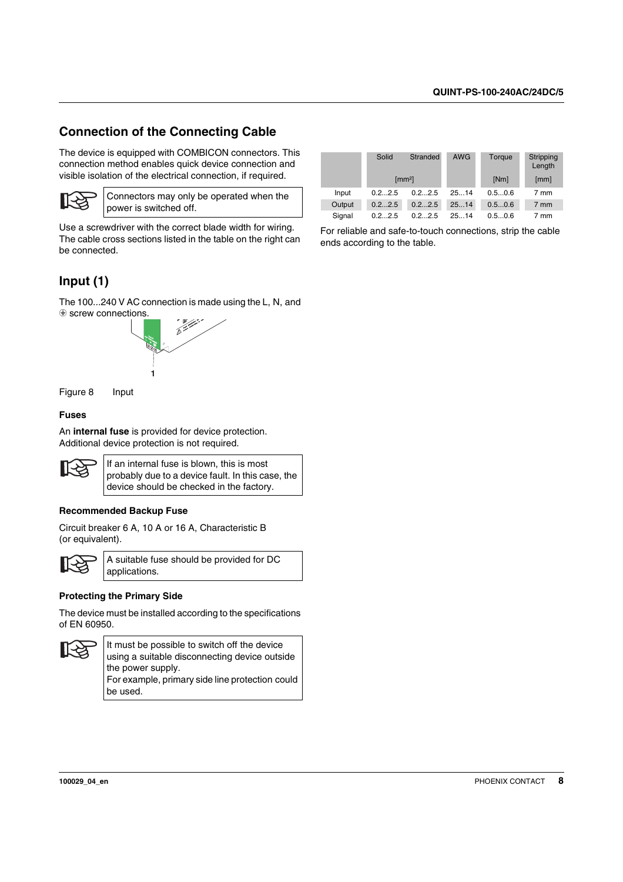# **Connection of the Connecting Cable**

The device is equipped with COMBICON connectors. This connection method enables quick device connection and visible isolation of the electrical connection, if required.



Connectors may only be operated when the power is switched off.

Use a screwdriver with the correct blade width for wiring. The cable cross sections listed in the table on the right can be connected.

### Solid Stranded AWG Torque Stripping Length  $[mm^2]$  [Nm]  $[mm]$  [mm] Input 0.2...2.5 0.2...2.5 25...14 0.5...0.6 7 mm Output 0.2...2.5 0.2...2.5 25...14 0.5...0.6 7 mm Signal 0.2...2.5 0.2...2.5 25...14 0.5...0.6 7 mm

For reliable and safe-to-touch connections, strip the cable ends according to the table.

# **Input (1)**

The 100...240 V AC connection is made using the L, N, and  $\circledast$  screw connections.



Figure 8 Input

### **Fuses**

An **internal fuse** is provided for device protection. Additional device protection is not required.



### **Recommended Backup Fuse**

Circuit breaker 6 A, 10 A or 16 A, Characteristic B (or equivalent).



A suitable fuse should be provided for DC applications.

### **Protecting the Primary Side**

The device must be installed according to the specifications of EN 60950.



It must be possible to switch off the device using a suitable disconnecting device outside the power supply. For example, primary side line protection could be used.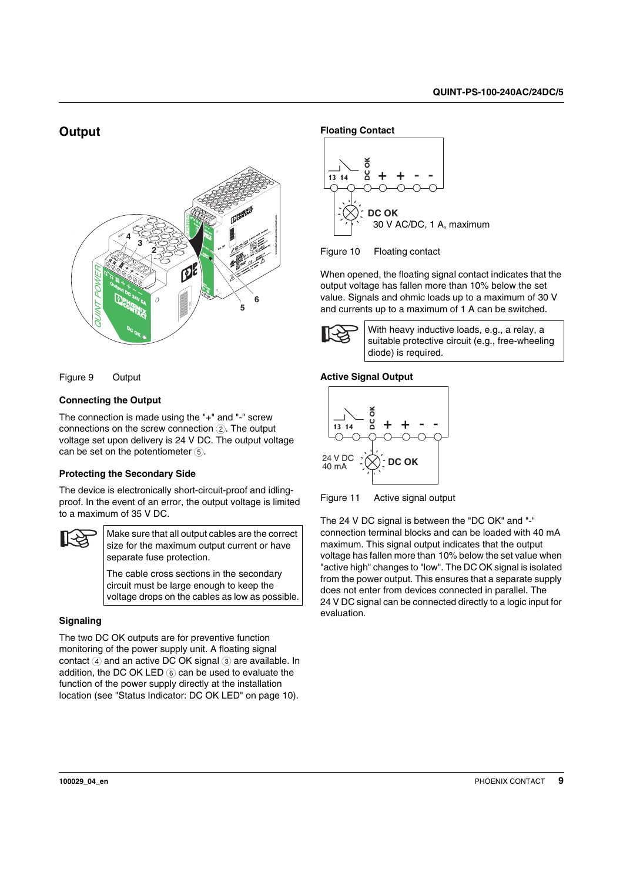### **Output**



Figure 9 Output

### **Connecting the Output**

The connection is made using the "+" and "-" screw connections on the screw connection (2). The output voltage set upon delivery is 24 V DC. The output voltage can be set on the potentiometer  $(5)$ .

#### **Protecting the Secondary Side**

The device is electronically short-circuit-proof and idlingproof. In the event of an error, the output voltage is limited to a maximum of 35 V DC.



Make sure that all output cables are the correct size for the maximum output current or have separate fuse protection.

The cable cross sections in the secondary circuit must be large enough to keep the voltage drops on the cables as low as possible.

#### **Signaling**

The two DC OK outputs are for preventive function monitoring of the power supply unit. A floating signal contact  $\overline{4}$  and an active DC OK signal  $\overline{3}$  are available. In addition, the DC OK LED  $(6)$  can be used to evaluate the function of the power supply directly at the installation location (see ["Status Indicator: DC OK LED" on page 10\)](#page-9-0).

### **Floating Contact**



Figure 10 Floating contact

When opened, the floating signal contact indicates that the output voltage has fallen more than 10% below the set value. Signals and ohmic loads up to a maximum of 30 V and currents up to a maximum of 1 A can be switched.



With heavy inductive loads, e.g., a relay, a suitable protective circuit (e.g., free-wheeling diode) is required.

### **Active Signal Output**



Figure 11 Active signal output

The 24 V DC signal is between the "DC OK" and "-" connection terminal blocks and can be loaded with 40 mA maximum. This signal output indicates that the output voltage has fallen more than 10% below the set value when "active high" changes to "low". The DC OK signal is isolated from the power output. This ensures that a separate supply does not enter from devices connected in parallel. The 24 V DC signal can be connected directly to a logic input for evaluation.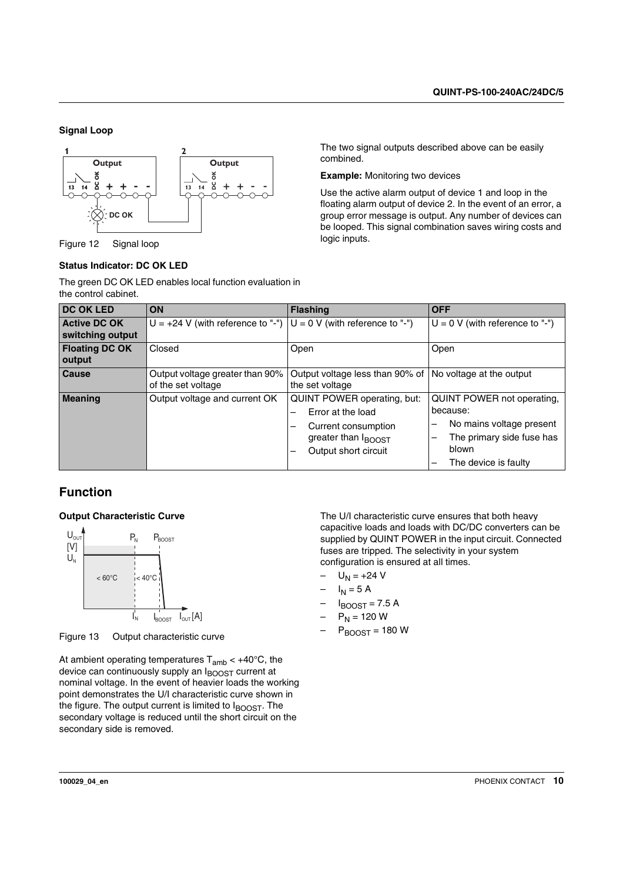### **Signal Loop**



Figure 12 Signal loop

### <span id="page-9-0"></span>**Status Indicator: DC OK LED**

The green DC OK LED enables local function evaluation in the control cabinet.

The two signal outputs described above can be easily combined.

#### **Example:** Monitoring two devices

Use the active alarm output of device 1 and loop in the floating alarm output of device 2. In the event of an error, a group error message is output. Any number of devices can be looped. This signal combination saves wiring costs and logic inputs.

| <b>DC OK LED</b>                        | ON                                                                     | <b>Flashing</b>                                                                                                                           | <b>OFF</b>                                                                                                                                 |
|-----------------------------------------|------------------------------------------------------------------------|-------------------------------------------------------------------------------------------------------------------------------------------|--------------------------------------------------------------------------------------------------------------------------------------------|
| <b>Active DC OK</b><br>switching output | $U = +24$ V (with reference to "-") $ U = 0$ V (with reference to "-") |                                                                                                                                           | $U = 0$ V (with reference to "-")                                                                                                          |
| <b>Floating DC OK</b><br>output         | Closed                                                                 | Open                                                                                                                                      | Open                                                                                                                                       |
| <b>Cause</b>                            | Output voltage greater than 90%<br>of the set voltage                  | Output voltage less than 90% of   No voltage at the output<br>the set voltage                                                             |                                                                                                                                            |
| <b>Meaning</b>                          | Output voltage and current OK                                          | <b>QUINT POWER operating, but:</b><br>Error at the load<br>Current consumption<br>greater than I <sub>BOOST</sub><br>Output short circuit | QUINT POWER not operating,<br>because:<br>No mains voltage present<br>-<br>The primary side fuse has<br>blown<br>The device is faulty<br>- |

### **Function**

### **Output Characteristic Curve**



Figure 13 Output characteristic curve

At ambient operating temperatures  $T_{amb}$  < +40°C, the device can continuously supply an IBOOST current at nominal voltage. In the event of heavier loads the working point demonstrates the U/I characteristic curve shown in the figure. The output current is limited to  $I_{\text{BOOST}}$ . The secondary voltage is reduced until the short circuit on the secondary side is removed.

The U/I characteristic curve ensures that both heavy capacitive loads and loads with DC/DC converters can be supplied by QUINT POWER in the input circuit. Connected fuses are tripped. The selectivity in your system configuration is ensured at all times.

- $U_{N}$  = +24 V
- $I<sub>N</sub>$  = 5 A
- $I_{\text{BOOST}} = 7.5 \text{ A}$
- $P_N = 120 W$
- $P_{\text{BOOST}} = 180 \text{ W}$